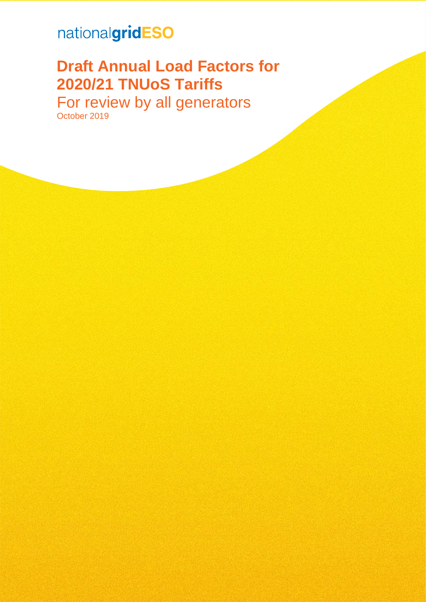## nationalgridESO

# **Draft Annual Load Factors for 2020/21 TNUoS Tariffs**

For review by all generators October 2019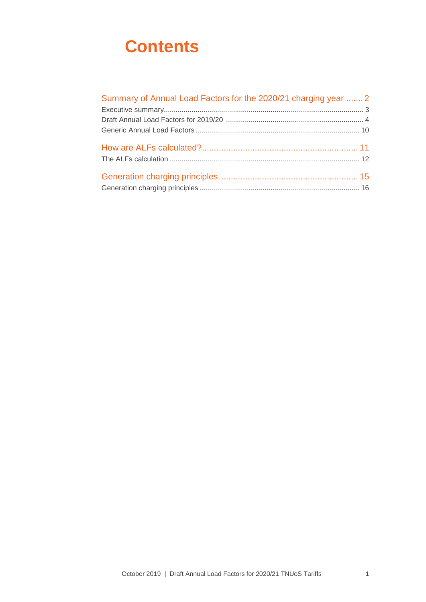## **Contents**

| Summary of Annual Load Factors for the 2020/21 charging year  2 |  |
|-----------------------------------------------------------------|--|
|                                                                 |  |
|                                                                 |  |
|                                                                 |  |
|                                                                 |  |
|                                                                 |  |
|                                                                 |  |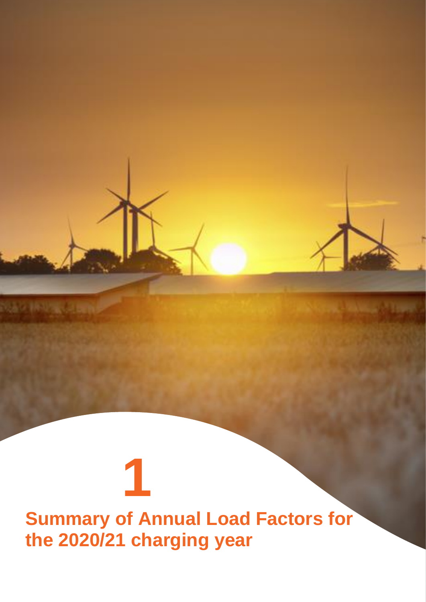# <span id="page-2-0"></span>**Summary of Annual Load Factors for the 2020/21 charging year**

**1**

NAV INVANCIAN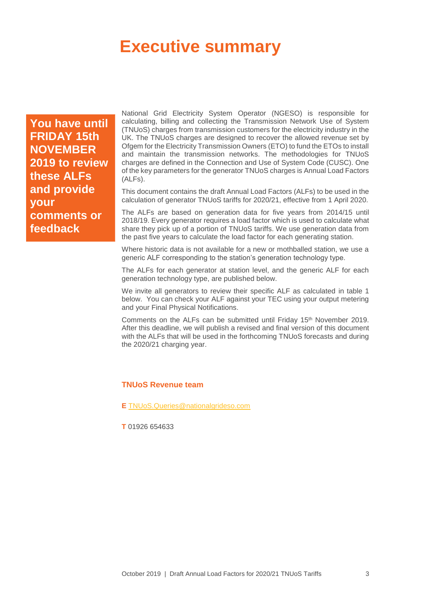## <span id="page-3-0"></span>**Executive summary**

**You have until FRIDAY 15th NOVEMBER 2019 to review these ALFs and provide your comments or feedback**

National Grid Electricity System Operator (NGESO) is responsible for calculating, billing and collecting the Transmission Network Use of System (TNUoS) charges from transmission customers for the electricity industry in the UK. The TNUoS charges are designed to recover the allowed revenue set by Ofgem for the Electricity Transmission Owners (ETO) to fund the ETOs to install and maintain the transmission networks. The methodologies for TNUoS charges are defined in the Connection and Use of System Code (CUSC). One of the key parameters for the generator TNUoS charges is Annual Load Factors (ALFs).

This document contains the draft Annual Load Factors (ALFs) to be used in the calculation of generator TNUoS tariffs for 2020/21, effective from 1 April 2020.

The ALFs are based on generation data for five years from 2014/15 until 2018/19. Every generator requires a load factor which is used to calculate what share they pick up of a portion of TNUoS tariffs. We use generation data from the past five years to calculate the load factor for each generating station.

Where historic data is not available for a new or mothballed station, we use a generic ALF corresponding to the station's generation technology type.

The ALFs for each generator at station level, and the generic ALF for each generation technology type, are published below.

We invite all generators to review their specific ALF as calculated in table 1 below. You can check your ALF against your TEC using your output metering and your Final Physical Notifications.

Comments on the ALFs can be submitted until Friday 15<sup>th</sup> November 2019. After this deadline, we will publish a revised and final version of this document with the ALFs that will be used in the forthcoming TNUoS forecasts and during the 2020/21 charging year.

#### **TNUoS Revenue team**

**E** [TNUoS.Queries@nationalgrideso.com](mailto:TNUoS.Queries@nationalgrideso.com)

**T** 01926 654633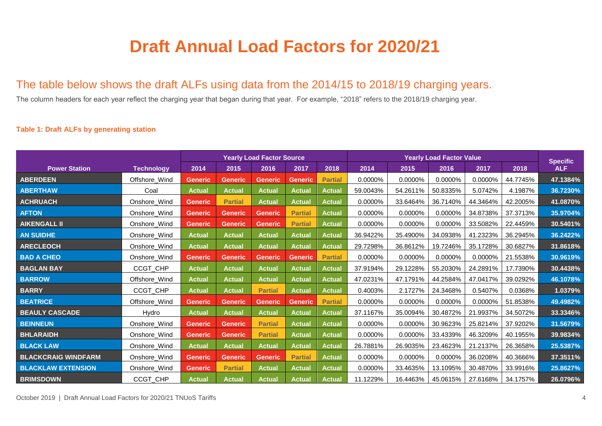# **Draft Annual Load Factors for 2020/21**

### The table below shows the draft ALFs using data from the 2014/15 to 2018/19 charging years.

The column headers for each year reflect the charging year that began during that year. For example, "2018" refers to the 2018/19 charging year.

#### **Table 1: Draft ALFs by generating station**

<span id="page-4-0"></span>

|                            |                   | <b>Yearly Load Factor Source</b> |                |                |                |                |          | <b>Specific</b> |            |          |          |            |
|----------------------------|-------------------|----------------------------------|----------------|----------------|----------------|----------------|----------|-----------------|------------|----------|----------|------------|
| <b>Power Station</b>       | <b>Technology</b> | 2014                             | 2015           | 2016           | 2017           | 2018           | 2014     | 2015            | 2016       | 2017     | 2018     | <b>ALF</b> |
| <b>ABERDEEN</b>            | Offshore_Wind     | <b>Generic</b>                   | <b>Generic</b> | <b>Generic</b> | <b>Generic</b> | <b>Partial</b> | 0.0000%  | 0.0000%         | 0.0000%    | 0.0000%  | 44.7745% | 47.1384%   |
| <b>ABERTHAW</b>            | Coal              | <b>Actual</b>                    | <b>Actual</b>  | <b>Actual</b>  | <b>Actual</b>  | <b>Actual</b>  | 59.0043% | 54.2611%        | 50.8335%   | 5.0742%  | 4.1987%  | 36.7230%   |
| <b>ACHRUACH</b>            | Onshore_Wind      | <b>Generic</b>                   | <b>Partial</b> | <b>Actual</b>  | <b>Actual</b>  | <b>Actual</b>  | 0.0000%  | 33.6464%        | 36.7140%   | 44.3464% | 42.2005% | 41.0870%   |
| <b>AFTON</b>               | Onshore Wind      | <b>Generic</b>                   | <b>Generic</b> | <b>Generic</b> | <b>Partial</b> | <b>Actual</b>  | 0.0000%  | 0.0000%         | 0.0000%    | 34.8738% | 37.3713% | 35.9704%   |
| <b>AIKENGALL II</b>        | Onshore_Wind      | <b>Generic</b>                   | <b>Generic</b> | <b>Generic</b> | <b>Partial</b> | <b>Actual</b>  | 0.0000%  | 0.0000%         | $0.0000\%$ | 33.5082% | 22.4459% | 30.5401%   |
| <b>AN SUIDHE</b>           | Onshore_Wind      | <b>Actual</b>                    | <b>Actual</b>  | <b>Actual</b>  | <b>Actual</b>  | <b>Actual</b>  | 36.9422% | 35.4900%        | 34.0938%   | 41.2323% | 36.2945% | 36.2422%   |
| <b>ARECLEOCH</b>           | Onshore Wind      | <b>Actual</b>                    | <b>Actual</b>  | <b>Actual</b>  | <b>Actual</b>  | <b>Actual</b>  | 29.7298% | 36.8612%        | 19.7246%   | 35.1728% | 30.6827% | 31.8618%   |
| <b>BAD A CHEO</b>          | Onshore Wind      | <b>Generic</b>                   | <b>Generic</b> | <b>Generic</b> | <b>Generic</b> | <b>Partial</b> | 0.0000%  | 0.0000%         | 0.0000%    | 0.0000%  | 21.5538% | 30.9619%   |
| <b>BAGLAN BAY</b>          | CCGT_CHP          | <b>Actual</b>                    | <b>Actual</b>  | <b>Actual</b>  | <b>Actual</b>  | <b>Actual</b>  | 37.9194% | 29.1228%        | 55.2030%   | 24.2891% | 17.7390% | 30.4438%   |
| <b>BARROW</b>              | Offshore_Wind     | <b>Actual</b>                    | <b>Actual</b>  | <b>Actual</b>  | <b>Actual</b>  | <b>Actual</b>  | 47.0231% | 47.1791%        | 44.2584%   | 47.0417% | 39.0292% | 46.1078%   |
| <b>BARRY</b>               | CCGT_CHP          | <b>Actual</b>                    | <b>Actual</b>  | <b>Partial</b> | <b>Actual</b>  | <b>Actual</b>  | 0.4003%  | 2.1727%         | 24.3468%   | 0.5407%  | 0.0368%  | 1.0379%    |
| <b>BEATRICE</b>            | Offshore_Wind     | <b>Generic</b>                   | <b>Generic</b> | <b>Generic</b> | <b>Generic</b> | <b>Partial</b> | 0.0000%  | 0.0000%         | 0.0000%    | 0.0000%  | 51.8538% | 49.4982%   |
| <b>BEAULY CASCADE</b>      | Hydro             | <b>Actual</b>                    | <b>Actual</b>  | <b>Actual</b>  | <b>Actual</b>  | <b>Actual</b>  | 37.1167% | 35.0094%        | 30.4872%   | 21.9937% | 34.5072% | 33.3346%   |
| <b>BEINNEUN</b>            | Onshore_Wind      | <b>Generic</b>                   | <b>Generic</b> | <b>Partial</b> | <b>Actual</b>  | <b>Actual</b>  | 0.0000%  | 0.0000%         | 30.9623%   | 25.8214% | 37.9202% | 31.5679%   |
| <b>BHLARAIDH</b>           | Onshore_Wind      | <b>Generic</b>                   | <b>Generic</b> | <b>Partial</b> | <b>Actual</b>  | <b>Actual</b>  | 0.0000%  | 0.0000%         | 33.4339%   | 46.3209% | 40.1955% | 39.9834%   |
| <b>BLACK LAW</b>           | Onshore_Wind      | <b>Actual</b>                    | <b>Actual</b>  | <b>Actual</b>  | <b>Actual</b>  | <b>Actual</b>  | 26.7881% | 26.9035%        | 23.4623%   | 21.2137% | 26.3658% | 25.5387%   |
| <b>BLACKCRAIG WINDFARM</b> | Onshore_Wind      | <b>Generic</b>                   | <b>Generic</b> | <b>Generic</b> | <b>Partial</b> | <b>Actual</b>  | 0.0000%  | 0.0000%         | 0.0000%    | 36.0208% | 40.3666% | 37.3511%   |
| <b>BLACKLAW EXTENSION</b>  | Onshore_Wind      | <b>Generic</b>                   | <b>Partial</b> | <b>Actual</b>  | <b>Actual</b>  | <b>Actual</b>  | 0.0000%  | 33.4635%        | 13.1095%   | 30.4870% | 33.9916% | 25.8627%   |
| <b>BRIMSDOWN</b>           | CCGT CHP          | <b>Actual</b>                    | <b>Actual</b>  | <b>Actual</b>  | <b>Actual</b>  | <b>Actual</b>  | 11.1229% | 16.4463%        | 45.0615%   | 27.6168% | 34.1757% | 26.0796%   |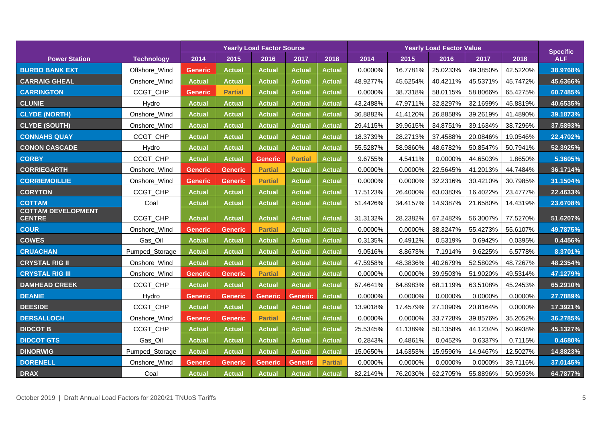|                                            |                   |                |                | <b>Yearly Load Factor Source</b> |                |                |          | <b>Specific</b> |          |          |          |            |
|--------------------------------------------|-------------------|----------------|----------------|----------------------------------|----------------|----------------|----------|-----------------|----------|----------|----------|------------|
| <b>Power Station</b>                       | <b>Technology</b> | 2014           | 2015           | 2016                             | 2017           | 2018           | 2014     | 2015            | 2016     | 2017     | 2018     | <b>ALF</b> |
| <b>BURBO BANK EXT</b>                      | Offshore_Wind     | <b>Generic</b> | <b>Actual</b>  | <b>Actual</b>                    | <b>Actual</b>  | Actual         | 0.0000%  | 16.7781%        | 25.0233% | 49.3850% | 42.5220% | 38.9768%   |
| <b>CARRAIG GHEAL</b>                       | Onshore_Wind      | <b>Actual</b>  | Actual         | <b>Actual</b>                    | <b>Actual</b>  | Actual         | 48.9277% | 45.6254%        | 40.4211% | 45.5371% | 45.7472% | 45.6366%   |
| <b>CARRINGTON</b>                          | CCGT_CHP          | <b>Generic</b> | <b>Partial</b> | <b>Actual</b>                    | <b>Actual</b>  | Actual         | 0.0000%  | 38.7318%        | 58.0115% | 58.8066% | 65.4275% | 60.7485%   |
| <b>CLUNIE</b>                              | Hydro             | Actual         | <b>Actual</b>  | <b>Actual</b>                    | <b>Actual</b>  | <b>Actual</b>  | 43.2488% | 47.9711%        | 32.8297% | 32.1699% | 45.8819% | 40.6535%   |
| <b>CLYDE (NORTH)</b>                       | Onshore_Wind      | Actual         | <b>Actual</b>  | <b>Actual</b>                    | <b>Actual</b>  | Actual         | 36.8882% | 41.4120%        | 26.8858% | 39.2619% | 41.4890% | 39.1873%   |
| <b>CLYDE (SOUTH)</b>                       | Onshore_Wind      | <b>Actual</b>  | <b>Actual</b>  | <b>Actual</b>                    | <b>Actual</b>  | <b>Actual</b>  | 29.4115% | 39.9615%        | 34.8751% | 39.1634% | 38.7296% | 37.5893%   |
| <b>CONNAHS QUAY</b>                        | CCGT_CHP          | Actual         | <b>Actual</b>  | <b>Actual</b>                    | <b>Actual</b>  | <b>Actual</b>  | 18.3739% | 28.2713%        | 37.4588% | 20.0846% | 19.0546% | 22.4702%   |
| <b>CONON CASCADE</b>                       | Hydro             | Actual         | <b>Actual</b>  | <b>Actual</b>                    | <b>Actual</b>  | <b>Actual</b>  | 55.5287% | 58.9860%        | 48.6782% | 50.8547% | 50.7941% | 52.3925%   |
| <b>CORBY</b>                               | CCGT_CHP          | <b>Actual</b>  | <b>Actual</b>  | Generic                          | <b>Partial</b> | Actual         | 9.6755%  | 4.5411%         | 0.0000%  | 44.6503% | 1.8650%  | 5.3605%    |
| <b>CORRIEGARTH</b>                         | Onshore_Wind      | <b>Generic</b> | <b>Generic</b> | <b>Partial</b>                   | <b>Actual</b>  | <b>Actual</b>  | 0.0000%  | 0.0000%         | 22.5645% | 41.2013% | 44.7484% | 36.1714%   |
| <b>CORRIEMOILLIE</b>                       | Onshore_Wind      | <b>Generic</b> | <b>Generic</b> | <b>Partial</b>                   | <b>Actual</b>  | Actual         | 0.0000%  | 0.0000%         | 32.2316% | 30.4210% | 30.7985% | 31.1504%   |
| <b>CORYTON</b>                             | CCGT_CHP          | <b>Actual</b>  | Actual         | <b>Actual</b>                    | <b>Actual</b>  | Actual         | 17.5123% | 26.4000%        | 63.0383% | 16.4022% | 23.4777% | 22.4633%   |
| <b>COTTAM</b>                              | Coal              | <b>Actual</b>  | <b>Actual</b>  | <b>Actual</b>                    | <b>Actual</b>  | Actual         | 51.4426% | 34.4157%        | 14.9387% | 21.6580% | 14.4319% | 23.6708%   |
| <b>COTTAM DEVELOPMENT</b><br><b>CENTRE</b> | CCGT_CHP          | <b>Actual</b>  | <b>Actual</b>  | <b>Actual</b>                    | <b>Actual</b>  | <b>Actual</b>  | 31.3132% | 28.2382%        | 67.2482% | 56.3007% | 77.5270% | 51.6207%   |
| <b>COUR</b>                                | Onshore_Wind      | <b>Generic</b> | <b>Generic</b> | <b>Partial</b>                   | <b>Actual</b>  | <b>Actual</b>  | 0.0000%  | 0.0000%         | 38.3247% | 55.4273% | 55.6107% | 49.7875%   |
| <b>COWES</b>                               | Gas_Oil           | <b>Actual</b>  | <b>Actual</b>  | <b>Actual</b>                    | <b>Actual</b>  | <b>Actual</b>  | 0.3135%  | 0.4912%         | 0.5319%  | 0.6942%  | 0.0395%  | 0.4456%    |
| <b>CRUACHAN</b>                            | Pumped_Storage    | <b>Actual</b>  | <b>Actual</b>  | <b>Actual</b>                    | <b>Actual</b>  | <b>Actual</b>  | 9.0516%  | 8.8673%         | 7.1914%  | 9.6225%  | 6.5778%  | 8.3701%    |
| <b>CRYSTAL RIG II</b>                      | Onshore_Wind      | <b>Actual</b>  | <b>Actual</b>  | <b>Actual</b>                    | <b>Actual</b>  | <b>Actual</b>  | 47.5958% | 48.3836%        | 40.2679% | 52.5802% | 48.7267% | 48.2354%   |
| <b>CRYSTAL RIG III</b>                     | Onshore_Wind      | <b>Generic</b> | <b>Generic</b> | <b>Partial</b>                   | <b>Actual</b>  | <b>Actual</b>  | 0.0000%  | 0.0000%         | 39.9503% | 51.9020% | 49.5314% | 47.1279%   |
| <b>DAMHEAD CREEK</b>                       | CCGT_CHP          | <b>Actual</b>  | <b>Actual</b>  | <b>Actual</b>                    | <b>Actual</b>  | <b>Actual</b>  | 67.4641% | 64.8983%        | 68.1119% | 63.5108% | 45.2453% | 65.2910%   |
| <b>DEANIE</b>                              | Hydro             | <b>Generic</b> | <b>Generic</b> | <b>Generic</b>                   | <b>Generic</b> | <b>Actual</b>  | 0.0000%  | 0.0000%         | 0.0000%  | 0.0000%  | 0.0000%  | 27.7889%   |
| <b>DEESIDE</b>                             | CCGT_CHP          | <b>Actual</b>  | <b>Actual</b>  | <b>Actual</b>                    | <b>Actual</b>  | <b>Actual</b>  | 13.9018% | 17.4579%        | 27.1090% | 20.8164% | 0.0000%  | 17.3921%   |
| <b>DERSALLOCH</b>                          | Onshore_Wind      | <b>Generic</b> | <b>Generic</b> | <b>Partial</b>                   | <b>Actual</b>  | <b>Actual</b>  | 0.0000%  | 0.0000%         | 33.7728% | 39.8576% | 35.2052% | 36.2785%   |
| <b>DIDCOT B</b>                            | CCGT_CHP          | <b>Actual</b>  | <b>Actual</b>  | <b>Actual</b>                    | <b>Actual</b>  | Actual         | 25.5345% | 41.1389%        | 50.1358% | 44.1234% | 50.9938% | 45.1327%   |
| <b>DIDCOT GTS</b>                          | Gas_Oil           | <b>Actual</b>  | <b>Actual</b>  | <b>Actual</b>                    | <b>Actual</b>  | <b>Actual</b>  | 0.2843%  | 0.4861%         | 0.0452%  | 0.6337%  | 0.7115%  | 0.4680%    |
| <b>DINORWIG</b>                            | Pumped_Storage    | <b>Actual</b>  | <b>Actual</b>  | <b>Actual</b>                    | <b>Actual</b>  | <b>Actual</b>  | 15.0650% | 14.6353%        | 15.9596% | 14.9467% | 12.5027% | 14.8823%   |
| <b>DORENELL</b>                            | Onshore_Wind      | <b>Generic</b> | <b>Generic</b> | <b>Generic</b>                   | <b>Generic</b> | <b>Partial</b> | 0.0000%  | 0.0000%         | 0.0000%  | 0.0000%  | 39.7116% | 37.0145%   |
| <b>DRAX</b>                                | Coal              | <b>Actual</b>  | <b>Actual</b>  | <b>Actual</b>                    | <b>Actual</b>  | <b>Actual</b>  | 82.2149% | 76.2030%        | 62.2705% | 55.8896% | 50.9593% | 64.7877%   |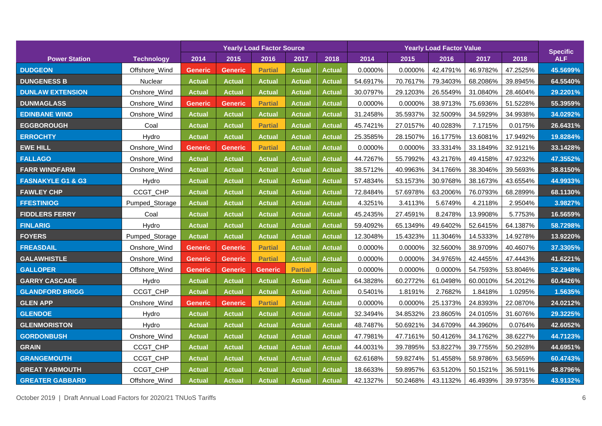|                              |                   |                |                | <b>Yearly Load Factor Source</b> |                |               |          | <b>Specific</b> |          |          |          |            |
|------------------------------|-------------------|----------------|----------------|----------------------------------|----------------|---------------|----------|-----------------|----------|----------|----------|------------|
| <b>Power Station</b>         | <b>Technology</b> | 2014           | 2015           | 2016                             | 2017           | 2018          | 2014     | 2015            | 2016     | 2017     | 2018     | <b>ALF</b> |
| <b>DUDGEON</b>               | Offshore_Wind     | <b>Generic</b> | <b>Generic</b> | <b>Partial</b>                   | <b>Actual</b>  | <b>Actual</b> | 0.0000%  | 0.0000%         | 42.4791% | 46.9782% | 47.2525% | 45.5699%   |
| <b>DUNGENESS B</b>           | Nuclear           | <b>Actual</b>  | Actual         | <b>Actual</b>                    | <b>Actual</b>  | <b>Actual</b> | 54.6917% | 70.7617%        | 79.3403% | 68.2086% | 39.8945% | 64.5540%   |
| <b>DUNLAW EXTENSION</b>      | Onshore_Wind      | <b>Actual</b>  | <b>Actual</b>  | <b>Actual</b>                    | <b>Actual</b>  | <b>Actual</b> | 30.0797% | 29.1203%        | 26.5549% | 31.0840% | 28.4604% | 29.2201%   |
| <b>DUNMAGLASS</b>            | Onshore_Wind      | <b>Generic</b> | <b>Generic</b> | <b>Partial</b>                   | <b>Actual</b>  | <b>Actual</b> | 0.0000%  | 0.0000%         | 38.9713% | 75.6936% | 51.5228% | 55.3959%   |
| <b>EDINBANE WIND</b>         | Onshore_Wind      | <b>Actual</b>  | Actual         | <b>Actual</b>                    | <b>Actual</b>  | <b>Actual</b> | 31.2458% | 35.5937%        | 32.5009% | 34.5929% | 34.9938% | 34.0292%   |
| <b>EGGBOROUGH</b>            | Coal              | <b>Actual</b>  | <b>Actual</b>  | <b>Partial</b>                   | <b>Actual</b>  | <b>Actual</b> | 45.7421% | 27.0157%        | 40.0283% | 7.1715%  | 0.0175%  | 26.6431%   |
| <b>ERROCHTY</b>              | Hydro             | <b>Actual</b>  | <b>Actual</b>  | <b>Actual</b>                    | <b>Actual</b>  | <b>Actual</b> | 25.3585% | 28.1507%        | 16.1775% | 13.6081% | 17.9492% | 19.8284%   |
| <b>EWE HILL</b>              | Onshore_Wind      | <b>Generic</b> | <b>Generic</b> | <b>Partial</b>                   | <b>Actual</b>  | Actual        | 0.0000%  | 0.0000%         | 33.3314% | 33.1849% | 32.9121% | 33.1428%   |
| <b>FALLAGO</b>               | Onshore_Wind      | <b>Actual</b>  | Actual         | <b>Actual</b>                    | <b>Actual</b>  | <b>Actual</b> | 44.7267% | 55.7992%        | 43.2176% | 49.4158% | 47.9232% | 47.3552%   |
| <b>FARR WINDFARM</b>         | Onshore_Wind      | <b>Actual</b>  | Actual         | <b>Actual</b>                    | <b>Actual</b>  | Actual        | 38.5712% | 40.9963%        | 34.1766% | 38.3046% | 39.5693% | 38.8150%   |
| <b>FASNAKYLE G1 &amp; G3</b> | Hydro             | <b>Actual</b>  | Actual         | <b>Actual</b>                    | <b>Actual</b>  | <b>Actual</b> | 57.4834% | 53.1573%        | 30.9768% | 38.1673% | 43.6554% | 44.9933%   |
| <b>FAWLEY CHP</b>            | CCGT_CHP          | <b>Actual</b>  | <b>Actual</b>  | <b>Actual</b>                    | <b>Actual</b>  | <b>Actual</b> | 72.8484% | 57.6978%        | 63.2006% | 76.0793% | 68.2899% | 68.1130%   |
| <b>FFESTINIOG</b>            | Pumped_Storage    | <b>Actual</b>  | <b>Actual</b>  | <b>Actual</b>                    | <b>Actual</b>  | <b>Actual</b> | 4.3251%  | 3.4113%         | 5.6749%  | 4.2118%  | 2.9504%  | 3.9827%    |
| <b>FIDDLERS FERRY</b>        | Coal              | <b>Actual</b>  | Actual         | <b>Actual</b>                    | <b>Actual</b>  | <b>Actual</b> | 45.2435% | 27.4591%        | 8.2478%  | 13.9908% | 5.7753%  | 16.5659%   |
| <b>FINLARIG</b>              | Hydro             | <b>Actual</b>  | Actual         | <b>Actual</b>                    | <b>Actual</b>  | Actual        | 59.4092% | 65.1349%        | 49.6402% | 52.6415% | 64.1387% | 58.7298%   |
| <b>FOYERS</b>                | Pumped_Storage    | <b>Actual</b>  | <b>Actual</b>  | <b>Actual</b>                    | <b>Actual</b>  | <b>Actual</b> | 12.3048% | 15.4323%        | 11.3046% | 14.5333% | 14.9278% | 13.9220%   |
| <b>FREASDAIL</b>             | Onshore_Wind      | <b>Generic</b> | <b>Generic</b> | <b>Partial</b>                   | <b>Actual</b>  | <b>Actual</b> | 0.0000%  | 0.0000%         | 32.5600% | 38.9709% | 40.4607% | 37.3305%   |
| <b>GALAWHISTLE</b>           | Onshore_Wind      | <b>Generic</b> | Generic        | <b>Partial</b>                   | <b>Actual</b>  | <b>Actual</b> | 0.0000%  | 0.0000%         | 34.9765% | 42.4455% | 47.4443% | 41.6221%   |
| <b>GALLOPER</b>              | Offshore_Wind     | <b>Generic</b> | <b>Generic</b> | <b>Generic</b>                   | <b>Partial</b> | <b>Actual</b> | 0.0000%  | 0.0000%         | 0.0000%  | 54.7593% | 53.8046% | 52.2948%   |
| <b>GARRY CASCADE</b>         | Hydro             | <b>Actual</b>  | Actual         | <b>Actual</b>                    | <b>Actual</b>  | <b>Actual</b> | 64.3828% | 60.2772%        | 61.0498% | 60.0010% | 54.2012% | 60.4426%   |
| <b>GLANDFORD BRIGG</b>       | CCGT_CHP          | <b>Actual</b>  | Actual         | <b>Actual</b>                    | <b>Actual</b>  | <b>Actual</b> | 0.5401%  | 1.8191%         | 2.7682%  | 1.8418%  | 1.0295%  | 1.5635%    |
| <b>GLEN APP</b>              | Onshore_Wind      | <b>Generic</b> | <b>Generic</b> | <b>Partial</b>                   | <b>Actual</b>  | Actual        | 0.0000%  | 0.0000%         | 25.1373% | 24.8393% | 22.0870% | 24.0212%   |
| <b>GLENDOE</b>               | Hydro             | <b>Actual</b>  | <b>Actual</b>  | <b>Actual</b>                    | <b>Actual</b>  | Actual        | 32.3494% | 34.8532%        | 23.8605% | 24.0105% | 31.6076% | 29.3225%   |
| <b>GLENMORISTON</b>          | Hydro             | <b>Actual</b>  | <b>Actual</b>  | <b>Actual</b>                    | <b>Actual</b>  | <b>Actual</b> | 48.7487% | 50.6921%        | 34.6709% | 44.3960% | 0.0764%  | 42.6052%   |
| <b>GORDONBUSH</b>            | Onshore_Wind      | <b>Actual</b>  | Actual         | <b>Actual</b>                    | <b>Actual</b>  | <b>Actual</b> | 47.7981% | 47.7161%        | 50.4126% | 34.1762% | 38.6227% | 44.7123%   |
| <b>GRAIN</b>                 | CCGT_CHP          | <b>Actual</b>  | <b>Actual</b>  | <b>Actual</b>                    | <b>Actual</b>  | <b>Actual</b> | 44.0031% | 39.7895%        | 53.8227% | 39.7755% | 50.2928% | 44.6951%   |
| <b>GRANGEMOUTH</b>           | CCGT_CHP          | <b>Actual</b>  | <b>Actual</b>  | <b>Actual</b>                    | <b>Actual</b>  | <b>Actual</b> | 62.6168% | 59.8274%        | 51.4558% | 58.9786% | 63.5659% | 60.4743%   |
| <b>GREAT YARMOUTH</b>        | CCGT_CHP          | <b>Actual</b>  | Actual         | <b>Actual</b>                    | <b>Actual</b>  | <b>Actual</b> | 18.6633% | 59.8957%        | 63.5120% | 50.1521% | 36.5911% | 48.8796%   |
| <b>GREATER GABBARD</b>       | Offshore_Wind     | <b>Actual</b>  | <b>Actual</b>  | <b>Actual</b>                    | <b>Actual</b>  | <b>Actual</b> | 42.1327% | 50.2468%        | 43.1132% | 46.4939% | 39.9735% | 43.9132%   |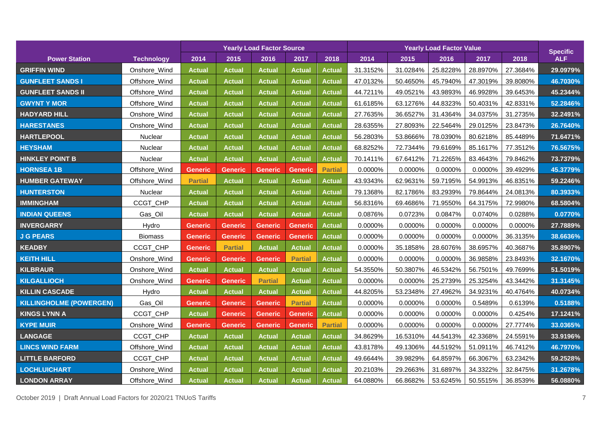|                                |                   | <b>Yearly Load Factor Source</b> |                |                |                |                |          | <b>Specific</b> |          |          |          |            |
|--------------------------------|-------------------|----------------------------------|----------------|----------------|----------------|----------------|----------|-----------------|----------|----------|----------|------------|
| <b>Power Station</b>           | <b>Technology</b> | 2014                             | 2015           | 2016           | 2017           | 2018           | 2014     | 2015            | 2016     | 2017     | 2018     | <b>ALF</b> |
| <b>GRIFFIN WIND</b>            | Onshore_Wind      | <b>Actual</b>                    | <b>Actual</b>  | <b>Actual</b>  | <b>Actual</b>  | <b>Actual</b>  | 31.3152% | 31.0284%        | 25.8228% | 28.8970% | 27.3684% | 29.0979%   |
| <b>GUNFLEET SANDS I</b>        | Offshore_Wind     | <b>Actual</b>                    | <b>Actual</b>  | <b>Actual</b>  | <b>Actual</b>  | <b>Actual</b>  | 47.0132% | 50.4650%        | 45.7940% | 47.3019% | 39.8080% | 46.7030%   |
| <b>GUNFLEET SANDS II</b>       | Offshore_Wind     | <b>Actual</b>                    | Actual         | <b>Actual</b>  | <b>Actual</b>  | <b>Actual</b>  | 44.7211% | 49.0521%        | 43.9893% | 46.9928% | 39.6453% | 45.2344%   |
| <b>GWYNT Y MOR</b>             | Offshore_Wind     | <b>Actual</b>                    | <b>Actual</b>  | <b>Actual</b>  | <b>Actual</b>  | <b>Actual</b>  | 61.6185% | 63.1276%        | 44.8323% | 50.4031% | 42.8331% | 52.2846%   |
| <b>HADYARD HILL</b>            | Onshore_Wind      | <b>Actual</b>                    | <b>Actual</b>  | <b>Actual</b>  | <b>Actual</b>  | <b>Actual</b>  | 27.7635% | 36.6527%        | 31.4364% | 34.0375% | 31.2735% | 32.2491%   |
| <b>HARESTANES</b>              | Onshore_Wind      | <b>Actual</b>                    | <b>Actual</b>  | <b>Actual</b>  | <b>Actual</b>  | <b>Actual</b>  | 28.6355% | 27.8093%        | 22.5464% | 29.0125% | 23.8473% | 26.7640%   |
| <b>HARTLEPOOL</b>              | Nuclear           | <b>Actual</b>                    | <b>Actual</b>  | <b>Actual</b>  | <b>Actual</b>  | <b>Actual</b>  | 56.2803% | 53.8666%        | 78.0390% | 80.6218% | 85.4489% | 71.6471%   |
| <b>HEYSHAM</b>                 | Nuclear           | <b>Actual</b>                    | <b>Actual</b>  | <b>Actual</b>  | <b>Actual</b>  | <b>Actual</b>  | 68.8252% | 72.7344%        | 79.6169% | 85.1617% | 77.3512% | 76.5675%   |
| <b>HINKLEY POINT B</b>         | <b>Nuclear</b>    | <b>Actual</b>                    | <b>Actual</b>  | <b>Actual</b>  | <b>Actual</b>  | <b>Actual</b>  | 70.1411% | 67.6412%        | 71.2265% | 83.4643% | 79.8462% | 73.7379%   |
| <b>HORNSEA 1B</b>              | Offshore_Wind     | <b>Generic</b>                   | <b>Generic</b> | <b>Generic</b> | <b>Generic</b> | <b>Partial</b> | 0.0000%  | 0.0000%         | 0.0000%  | 0.0000%  | 39.4929% | 45.3779%   |
| <b>HUMBER GATEWAY</b>          | Offshore_Wind     | <b>Partial</b>                   | <b>Actual</b>  | <b>Actual</b>  | <b>Actual</b>  | <b>Actual</b>  | 43.9343% | 62.9631%        | 59.7195% | 54.9913% | 46.8351% | 59.2246%   |
| <b>HUNTERSTON</b>              | Nuclear           | <b>Actual</b>                    | <b>Actual</b>  | <b>Actual</b>  | <b>Actual</b>  | <b>Actual</b>  | 79.1368% | 82.1786%        | 83.2939% | 79.8644% | 24.0813% | 80.3933%   |
| <b>IMMINGHAM</b>               | CCGT_CHP          | <b>Actual</b>                    | <b>Actual</b>  | <b>Actual</b>  | <b>Actual</b>  | <b>Actual</b>  | 56.8316% | 69.4686%        | 71.9550% | 64.3175% | 72.9980% | 68.5804%   |
| <b>INDIAN QUEENS</b>           | Gas_Oil           | <b>Actual</b>                    | <b>Actual</b>  | <b>Actual</b>  | <b>Actual</b>  | <b>Actual</b>  | 0.0876%  | 0.0723%         | 0.0847%  | 0.0740%  | 0.0288%  | 0.0770%    |
| <b>INVERGARRY</b>              | Hydro             | <b>Generic</b>                   | <b>Generic</b> | <b>Generic</b> | <b>Generic</b> | <b>Actual</b>  | 0.0000%  | 0.0000%         | 0.0000%  | 0.0000%  | 0.0000%  | 27.7889%   |
| <b>J G PEARS</b>               | <b>Biomass</b>    | <b>Generic</b>                   | <b>Generic</b> | <b>Generic</b> | <b>Generic</b> | <b>Actual</b>  | 0.0000%  | 0.0000%         | 0.0000%  | 0.0000%  | 36.3135% | 38.6636%   |
| <b>KEADBY</b>                  | CCGT_CHP          | <b>Generic</b>                   | <b>Partial</b> | <b>Actual</b>  | <b>Actual</b>  | <b>Actual</b>  | 0.0000%  | 35.1858%        | 28.6076% | 38.6957% | 40.3687% | 35.8907%   |
| <b>KEITH HILL</b>              | Onshore_Wind      | <b>Generic</b>                   | <b>Generic</b> | <b>Generic</b> | <b>Partial</b> | <b>Actual</b>  | 0.0000%  | 0.0000%         | 0.0000%  | 36.9858% | 23.8493% | 32.1670%   |
| <b>KILBRAUR</b>                | Onshore_Wind      | <b>Actual</b>                    | <b>Actual</b>  | <b>Actual</b>  | <b>Actual</b>  | <b>Actual</b>  | 54.3550% | 50.3807%        | 46.5342% | 56.7501% | 49.7699% | 51.5019%   |
| <b>KILGALLIOCH</b>             | Onshore_Wind      | <b>Generic</b>                   | <b>Generic</b> | <b>Partial</b> | <b>Actual</b>  | <b>Actual</b>  | 0.0000%  | 0.0000%         | 25.2739% | 25.3254% | 43.3442% | 31.3145%   |
| <b>KILLIN CASCADE</b>          | Hydro             | <b>Actual</b>                    | <b>Actual</b>  | <b>Actual</b>  | <b>Actual</b>  | <b>Actual</b>  | 44.8205% | 53.2348%        | 27.4962% | 34.9231% | 40.4764% | 40.0734%   |
| <b>KILLINGHOLME (POWERGEN)</b> | Gas_Oil           | <b>Generic</b>                   | <b>Generic</b> | <b>Generic</b> | <b>Partial</b> | <b>Actual</b>  | 0.0000%  | 0.0000%         | 0.0000%  | 0.5489%  | 0.6139%  | 0.5188%    |
| <b>KINGS LYNN A</b>            | CCGT_CHP          | <b>Actual</b>                    | <b>Generic</b> | <b>Generic</b> | <b>Generic</b> | <b>Actual</b>  | 0.0000%  | 0.0000%         | 0.0000%  | 0.0000%  | 0.4254%  | 17.1241%   |
| <b>KYPE MUIR</b>               | Onshore_Wind      | <b>Generic</b>                   | <b>Generic</b> | <b>Generic</b> | <b>Generic</b> | <b>Partial</b> | 0.0000%  | 0.0000%         | 0.0000%  | 0.0000%  | 27.7774% | 33.0365%   |
| <b>LANGAGE</b>                 | CCGT_CHP          | <b>Actual</b>                    | <b>Actual</b>  | <b>Actual</b>  | <b>Actual</b>  | <b>Actual</b>  | 34.8629% | 16.5310%        | 44.5413% | 42.3368% | 24.5591% | 33.9196%   |
| <b>LINCS WIND FARM</b>         | Offshore_Wind     | <b>Actual</b>                    | <b>Actual</b>  | <b>Actual</b>  | <b>Actual</b>  | <b>Actual</b>  | 43.8178% | 49.1306%        | 44.5192% | 51.0911% | 46.7412% | 46.7970%   |
| <b>LITTLE BARFORD</b>          | CCGT_CHP          | <b>Actual</b>                    | <b>Actual</b>  | <b>Actual</b>  | <b>Actual</b>  | <b>Actual</b>  | 49.6644% | 39.9829%        | 64.8597% | 66.3067% | 63.2342% | 59.2528%   |
| <b>LOCHLUICHART</b>            | Onshore_Wind      | <b>Actual</b>                    | <b>Actual</b>  | <b>Actual</b>  | <b>Actual</b>  | <b>Actual</b>  | 20.2103% | 29.2663%        | 31.6897% | 34.3322% | 32.8475% | 31.2678%   |
| <b>LONDON ARRAY</b>            | Offshore_Wind     | <b>Actual</b>                    | <b>Actual</b>  | <b>Actual</b>  | <b>Actual</b>  | <b>Actual</b>  | 64.0880% | 66.8682%        | 53.6245% | 50.5515% | 36.8539% | 56.0880%   |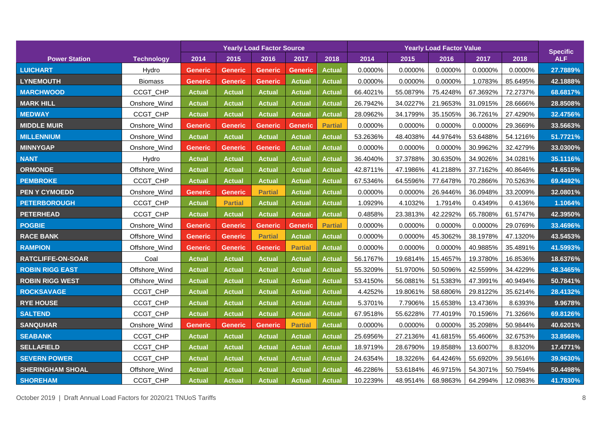|                          |                   |                |                | <b>Yearly Load Factor Source</b> |                |                |          | <b>Specific</b> |          |          |          |            |
|--------------------------|-------------------|----------------|----------------|----------------------------------|----------------|----------------|----------|-----------------|----------|----------|----------|------------|
| <b>Power Station</b>     | <b>Technology</b> | 2014           | 2015           | 2016                             | 2017           | 2018           | 2014     | 2015            | 2016     | 2017     | 2018     | <b>ALF</b> |
| <b>LUICHART</b>          | Hydro             | <b>Generic</b> | <b>Generic</b> | <b>Generic</b>                   | <b>Generic</b> | <b>Actual</b>  | 0.0000%  | 0.0000%         | 0.0000%  | 0.0000%  | 0.0000%  | 27.7889%   |
| <b>LYNEMOUTH</b>         | <b>Biomass</b>    | <b>Generic</b> | Generic        | <b>Generic</b>                   | <b>Actual</b>  | <b>Actual</b>  | 0.0000%  | 0.0000%         | 0.0000%  | 1.0783%  | 85.6495% | 42.1888%   |
| <b>MARCHWOOD</b>         | CCGT_CHP          | <b>Actual</b>  | Actual         | <b>Actual</b>                    | <b>Actual</b>  | <b>Actual</b>  | 66.4021% | 55.0879%        | 75.4248% | 67.3692% | 72.2737% | 68.6817%   |
| <b>MARK HILL</b>         | Onshore_Wind      | <b>Actual</b>  | <b>Actual</b>  | <b>Actual</b>                    | <b>Actual</b>  | <b>Actual</b>  | 26.7942% | 34.0227%        | 21.9653% | 31.0915% | 28.6666% | 28.8508%   |
| <b>MEDWAY</b>            | CCGT_CHP          | <b>Actual</b>  | <b>Actual</b>  | <b>Actual</b>                    | <b>Actual</b>  | <b>Actual</b>  | 28.0962% | 34.1799%        | 35.1505% | 36.7261% | 27.4290% | 32.4756%   |
| <b>MIDDLE MUIR</b>       | Onshore_Wind      | <b>Generic</b> | <b>Generic</b> | <b>Generic</b>                   | <b>Generic</b> | <b>Partial</b> | 0.0000%  | 0.0000%         | 0.0000%  | 0.0000%  | 29.3669% | 33.5663%   |
| <b>MILLENNIUM</b>        | Onshore_Wind      | <b>Actual</b>  | <b>Actual</b>  | <b>Actual</b>                    | <b>Actual</b>  | <b>Actual</b>  | 53.2636% | 48.4038%        | 44.9764% | 53.6488% | 54.1216% | 51.7721%   |
| <b>MINNYGAP</b>          | Onshore_Wind      | <b>Generic</b> | Generic        | Generic                          | <b>Actual</b>  | <b>Actual</b>  | 0.0000%  | 0.0000%         | 0.0000%  | 30.9962% | 32.4279% | 33.0300%   |
| <b>NANT</b>              | Hydro             | <b>Actual</b>  | <b>Actual</b>  | <b>Actual</b>                    | <b>Actual</b>  | <b>Actual</b>  | 36.4040% | 37.3788%        | 30.6350% | 34.9026% | 34.0281% | 35.1116%   |
| <b>ORMONDE</b>           | Offshore_Wind     | <b>Actual</b>  | Actual         | <b>Actual</b>                    | <b>Actual</b>  | <b>Actual</b>  | 42.8711% | 47.1986%        | 41.2188% | 37.7162% | 40.8646% | 41.6515%   |
| <b>PEMBROKE</b>          | CCGT_CHP          | <b>Actual</b>  | <b>Actual</b>  | <b>Actual</b>                    | <b>Actual</b>  | <b>Actual</b>  | 67.5346% | 64.5596%        | 77.6478% | 70.2866% | 70.5263% | 69.4492%   |
| <b>PEN Y CYMOEDD</b>     | Onshore_Wind      | <b>Generic</b> | <b>Generic</b> | <b>Partial</b>                   | <b>Actual</b>  | <b>Actual</b>  | 0.0000%  | 0.0000%         | 26.9446% | 36.0948% | 33.2009% | 32.0801%   |
| <b>PETERBOROUGH</b>      | CCGT_CHP          | <b>Actual</b>  | <b>Partial</b> | <b>Actual</b>                    | <b>Actual</b>  | <b>Actual</b>  | 1.0929%  | 4.1032%         | 1.7914%  | 0.4349%  | 0.4136%  | 1.1064%    |
| <b>PETERHEAD</b>         | CCGT_CHP          | <b>Actual</b>  | <b>Actual</b>  | <b>Actual</b>                    | <b>Actual</b>  | <b>Actual</b>  | 0.4858%  | 23.3813%        | 42.2292% | 65.7808% | 61.5747% | 42.3950%   |
| <b>POGBIE</b>            | Onshore_Wind      | <b>Generic</b> | <b>Generic</b> | <b>Generic</b>                   | <b>Generic</b> | <b>Partial</b> | 0.0000%  | 0.0000%         | 0.0000%  | 0.0000%  | 29.0769% | 33.4696%   |
| <b>RACE BANK</b>         | Offshore_Wind     | <b>Generic</b> | <b>Generic</b> | <b>Partial</b>                   | <b>Actual</b>  | <b>Actual</b>  | 0.0000%  | 0.0000%         | 45.3062% | 38.1978% | 47.1320% | 43.5453%   |
| <b>RAMPION</b>           | Offshore_Wind     | <b>Generic</b> | <b>Generic</b> | Generic                          | <b>Partial</b> | <b>Actual</b>  | 0.0000%  | 0.0000%         | 0.0000%  | 40.9885% | 35.4891% | 41.5993%   |
| <b>RATCLIFFE-ON-SOAR</b> | Coal              | <b>Actual</b>  | <b>Actual</b>  | <b>Actual</b>                    | <b>Actual</b>  | <b>Actual</b>  | 56.1767% | 19.6814%        | 15.4657% | 19.3780% | 16.8536% | 18.6376%   |
| <b>ROBIN RIGG EAST</b>   | Offshore_Wind     | Actual         | Actual         | <b>Actual</b>                    | <b>Actual</b>  | <b>Actual</b>  | 55.3209% | 51.9700%        | 50.5096% | 42.5599% | 34.4229% | 48.3465%   |
| <b>ROBIN RIGG WEST</b>   | Offshore_Wind     | <b>Actual</b>  | <b>Actual</b>  | <b>Actual</b>                    | <b>Actual</b>  | <b>Actual</b>  | 53.4150% | 56.0881%        | 51.5383% | 47.3991% | 40.9494% | 50.7841%   |
| <b>ROCKSAVAGE</b>        | CCGT_CHP          | <b>Actual</b>  | <b>Actual</b>  | <b>Actual</b>                    | <b>Actual</b>  | <b>Actual</b>  | 4.4252%  | 19.8061%        | 58.6806% | 29.8122% | 35.6214% | 28.4132%   |
| <b>RYE HOUSE</b>         | CCGT_CHP          | <b>Actual</b>  | <b>Actual</b>  | <b>Actual</b>                    | <b>Actual</b>  | <b>Actual</b>  | 5.3701%  | 7.7906%         | 15.6538% | 13.4736% | 8.6393%  | 9.9678%    |
| <b>SALTEND</b>           | CCGT_CHP          | <b>Actual</b>  | <b>Actual</b>  | <b>Actual</b>                    | <b>Actual</b>  | <b>Actual</b>  | 67.9518% | 55.6228%        | 77.4019% | 70.1596% | 71.3266% | 69.8126%   |
| <b>SANQUHAR</b>          | Onshore_Wind      | <b>Generic</b> | Generic        | <b>Generic</b>                   | <b>Partial</b> | <b>Actual</b>  | 0.0000%  | 0.0000%         | 0.0000%  | 35.2098% | 50.9844% | 40.6201%   |
| <b>SEABANK</b>           | CCGT_CHP          | <b>Actual</b>  | <b>Actual</b>  | <b>Actual</b>                    | <b>Actual</b>  | <b>Actual</b>  | 25.6956% | 27.2136%        | 41.6815% | 55.4606% | 32.6753% | 33.8568%   |
| <b>SELLAFIELD</b>        | CCGT_CHP          | <b>Actual</b>  | <b>Actual</b>  | <b>Actual</b>                    | <b>Actual</b>  | <b>Actual</b>  | 18.9719% | 28.6790%        | 19.8588% | 13.6007% | 8.8320%  | 17.4771%   |
| <b>SEVERN POWER</b>      | CCGT_CHP          | <b>Actual</b>  | <b>Actual</b>  | <b>Actual</b>                    | <b>Actual</b>  | <b>Actual</b>  | 24.6354% | 18.3226%        | 64.4246% | 55.6920% | 39.5616% | 39.9630%   |
| <b>SHERINGHAM SHOAL</b>  | Offshore_Wind     | <b>Actual</b>  | <b>Actual</b>  | <b>Actual</b>                    | <b>Actual</b>  | <b>Actual</b>  | 46.2286% | 53.6184%        | 46.9715% | 54.3071% | 50.7594% | 50.4498%   |
| <b>SHOREHAM</b>          | CCGT_CHP          | <b>Actual</b>  | <b>Actual</b>  | <b>Actual</b>                    | <b>Actual</b>  | <b>Actual</b>  | 10.2239% | 48.9514%        | 68.9863% | 64.2994% | 12.0983% | 41.7830%   |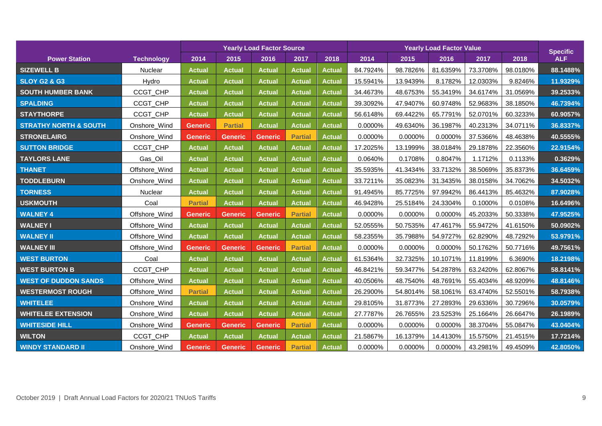|                                  |                   | <b>Yearly Load Factor Source</b> |                |                |                |               |          | <b>Specific</b> |          |          |          |            |
|----------------------------------|-------------------|----------------------------------|----------------|----------------|----------------|---------------|----------|-----------------|----------|----------|----------|------------|
| <b>Power Station</b>             | <b>Technology</b> | 2014                             | 2015           | 2016           | 2017           | 2018          | 2014     | 2015            | 2016     | 2017     | 2018     | <b>ALF</b> |
| <b>SIZEWELL B</b>                | Nuclear           | <b>Actual</b>                    | <b>Actual</b>  | <b>Actual</b>  | <b>Actual</b>  | <b>Actual</b> | 84.7924% | 98.7826%        | 81.6359% | 73.3708% | 98.0180% | 88.1488%   |
| <b>SLOY G2 &amp; G3</b>          | Hydro             | <b>Actual</b>                    | <b>Actual</b>  | <b>Actual</b>  | <b>Actual</b>  | <b>Actual</b> | 15.5941% | 13.9439%        | 8.1782%  | 12.0303% | 9.8246%  | 11.9329%   |
| <b>SOUTH HUMBER BANK</b>         | CCGT_CHP          | <b>Actual</b>                    | <b>Actual</b>  | <b>Actual</b>  | <b>Actual</b>  | <b>Actual</b> | 34.4673% | 48.6753%        | 55.3419% | 34.6174% | 31.0569% | 39.2533%   |
| <b>SPALDING</b>                  | CCGT_CHP          | <b>Actual</b>                    | <b>Actual</b>  | <b>Actual</b>  | <b>Actual</b>  | <b>Actual</b> | 39.3092% | 47.9407%        | 60.9748% | 52.9683% | 38.1850% | 46.7394%   |
| <b>STAYTHORPE</b>                | CCGT_CHP          | <b>Actual</b>                    | <b>Actual</b>  | <b>Actual</b>  | <b>Actual</b>  | <b>Actual</b> | 56.6148% | 69.4422%        | 65.7791% | 52.0701% | 60.3233% | 60.9057%   |
| <b>STRATHY NORTH &amp; SOUTH</b> | Onshore_Wind      | <b>Generic</b>                   | <b>Partial</b> | <b>Actual</b>  | <b>Actual</b>  | <b>Actual</b> | 0.0000%  | 49.6340%        | 36.1987% | 40.2313% | 34.0711% | 36.8337%   |
| <b>STRONELAIRG</b>               | Onshore_Wind      | <b>Generic</b>                   | <b>Generic</b> | <b>Generic</b> | <b>Partial</b> | <b>Actual</b> | 0.0000%  | 0.0000%         | 0.0000%  | 37.5366% | 48.4638% | 40.5555%   |
| <b>SUTTON BRIDGE</b>             | CCGT_CHP          | <b>Actual</b>                    | Actual         | <b>Actual</b>  | <b>Actual</b>  | <b>Actual</b> | 17.2025% | 13.1999%        | 38.0184% | 29.1878% | 22.3560% | 22.9154%   |
| <b>TAYLORS LANE</b>              | Gas_Oil           | <b>Actual</b>                    | <b>Actual</b>  | <b>Actual</b>  | <b>Actual</b>  | <b>Actual</b> | 0.0640%  | 0.1708%         | 0.8047%  | 1.1712%  | 0.1133%  | 0.3629%    |
| <b>THANET</b>                    | Offshore_Wind     | <b>Actual</b>                    | <b>Actual</b>  | <b>Actual</b>  | <b>Actual</b>  | <b>Actual</b> | 35.5935% | 41.3434%        | 33.7132% | 38.5069% | 35.8373% | 36.6459%   |
| <b>TODDLEBURN</b>                | Onshore_Wind      | <b>Actual</b>                    | <b>Actual</b>  | <b>Actual</b>  | <b>Actual</b>  | <b>Actual</b> | 33.7211% | 35.0823%        | 31.3435% | 38.0158% | 34.7062% | 34.5032%   |
| <b>TORNESS</b>                   | Nuclear           | <b>Actual</b>                    | <b>Actual</b>  | <b>Actual</b>  | <b>Actual</b>  | <b>Actual</b> | 91.4945% | 85.7725%        | 97.9942% | 86.4413% | 85.4632% | 87.9028%   |
| <b>USKMOUTH</b>                  | Coal              | <b>Partial</b>                   | <b>Actual</b>  | <b>Actual</b>  | <b>Actual</b>  | <b>Actual</b> | 46.9428% | 25.5184%        | 24.3304% | 0.1000%  | 0.0108%  | 16.6496%   |
| <b>WALNEY 4</b>                  | Offshore_Wind     | <b>Generic</b>                   | <b>Generic</b> | Generic        | <b>Partial</b> | <b>Actual</b> | 0.0000%  | 0.0000%         | 0.0000%  | 45.2033% | 50.3338% | 47.9525%   |
| <b>WALNEY I</b>                  | Offshore_Wind     | <b>Actual</b>                    | <b>Actual</b>  | <b>Actual</b>  | <b>Actual</b>  | <b>Actual</b> | 52.0555% | 50.7535%        | 47.4617% | 55.9472% | 41.6150% | 50.0902%   |
| <b>WALNEY II</b>                 | Offshore_Wind     | <b>Actual</b>                    | <b>Actual</b>  | <b>Actual</b>  | <b>Actual</b>  | <b>Actual</b> | 58.2355% | 35.7988%        | 54.9727% | 62.8290% | 48.7292% | 53.9791%   |
| <b>WALNEY III</b>                | Offshore_Wind     | <b>Generic</b>                   | <b>Generic</b> | <b>Generic</b> | <b>Partial</b> | <b>Actual</b> | 0.0000%  | 0.0000%         | 0.0000%  | 50.1762% | 50.7716% | 49.7561%   |
| <b>WEST BURTON</b>               | Coal              | <b>Actual</b>                    | <b>Actual</b>  | <b>Actual</b>  | <b>Actual</b>  | <b>Actual</b> | 61.5364% | 32.7325%        | 10.1071% | 11.8199% | 6.3690%  | 18.2198%   |
| <b>WEST BURTON B</b>             | CCGT_CHP          | <b>Actual</b>                    | <b>Actual</b>  | <b>Actual</b>  | <b>Actual</b>  | <b>Actual</b> | 46.8421% | 59.3477%        | 54.2878% | 63.2420% | 62.8067% | 58.8141%   |
| <b>WEST OF DUDDON SANDS</b>      | Offshore_Wind     | <b>Actual</b>                    | <b>Actual</b>  | <b>Actual</b>  | <b>Actual</b>  | <b>Actual</b> | 40.0506% | 48.7540%        | 48.7691% | 55.4034% | 48.9209% | 48.8146%   |
| <b>WESTERMOST ROUGH</b>          | Offshore_Wind     | <b>Partial</b>                   | <b>Actual</b>  | <b>Actual</b>  | <b>Actual</b>  | <b>Actual</b> | 26.2900% | 54.8014%        | 58.1061% | 63.4740% | 52.5501% | 58.7938%   |
| <b>WHITELEE</b>                  | Onshore_Wind      | <b>Actual</b>                    | <b>Actual</b>  | <b>Actual</b>  | <b>Actual</b>  | <b>Actual</b> | 29.8105% | 31.8773%        | 27.2893% | 29.6336% | 30.7296% | 30.0579%   |
| <b>WHITELEE EXTENSION</b>        | Onshore_Wind      | <b>Actual</b>                    | <b>Actual</b>  | <b>Actual</b>  | <b>Actual</b>  | <b>Actual</b> | 27.7787% | 26.7655%        | 23.5253% | 25.1664% | 26.6647% | 26.1989%   |
| <b>WHITESIDE HILL</b>            | Onshore_Wind      | <b>Generic</b>                   | <b>Generic</b> | <b>Generic</b> | <b>Partial</b> | <b>Actual</b> | 0.0000%  | 0.0000%         | 0.0000%  | 38.3704% | 55.0847% | 43.0404%   |
| <b>WILTON</b>                    | CCGT_CHP          | <b>Actual</b>                    | <b>Actual</b>  | <b>Actual</b>  | <b>Actual</b>  | <b>Actual</b> | 21.5867% | 16.1379%        | 14.4130% | 15.5750% | 21.4515% | 17.7214%   |
| <b>WINDY STANDARD II</b>         | Onshore_Wind      | <b>Generic</b>                   | <b>Generic</b> | <b>Generic</b> | <b>Partial</b> | <b>Actual</b> | 0.0000%  | 0.0000%         | 0.0000%  | 43.2981% | 49.4509% | 42.8050%   |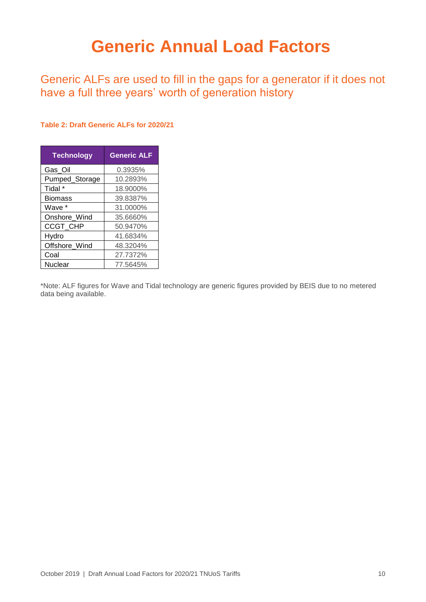## <span id="page-10-0"></span>**Generic Annual Load Factors**

Generic ALFs are used to fill in the gaps for a generator if it does not have a full three years' worth of generation history

#### **Table 2: Draft Generic ALFs for 2020/21**

| <b>Technology</b> | <b>Generic ALF</b> |
|-------------------|--------------------|
| Gas_Oil           | 0.3935%            |
| Pumped_Storage    | 10.2893%           |
| Tidal *           | 18.9000%           |
| <b>Biomass</b>    | 39.8387%           |
| Wave *            | 31.0000%           |
| Onshore Wind      | 35.6660%           |
| <b>CCGT CHP</b>   | 50.9470%           |
| Hydro             | 41.6834%           |
| Offshore_Wind     | 48.3204%           |
| Coal              | 27.7372%           |
| Nuclear           | 77.5645%           |

\*Note: ALF figures for Wave and Tidal technology are generic figures provided by BEIS due to no metered data being available.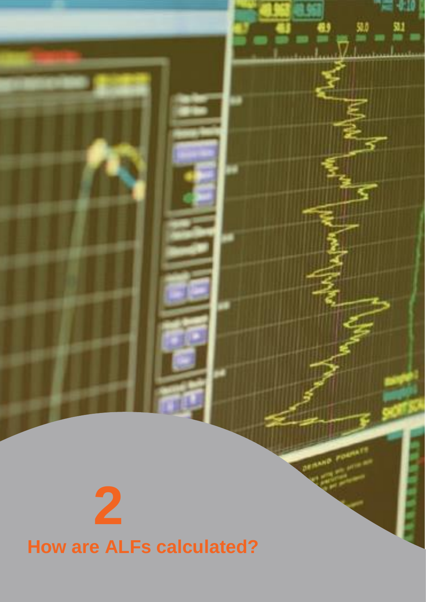# <span id="page-11-0"></span>**2 How are ALFs calculated?**

**DEMAND**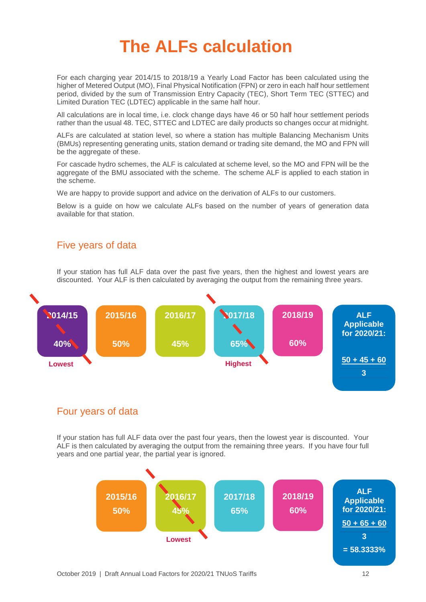## <span id="page-12-0"></span>**The ALFs calculation**

For each charging year 2014/15 to 2018/19 a Yearly Load Factor has been calculated using the higher of Metered Output (MO), Final Physical Notification (FPN) or zero in each half hour settlement period, divided by the sum of Transmission Entry Capacity (TEC), Short Term TEC (STTEC) and Limited Duration TEC (LDTEC) applicable in the same half hour.

All calculations are in local time, i.e. clock change days have 46 or 50 half hour settlement periods rather than the usual 48. TEC, STTEC and LDTEC are daily products so changes occur at midnight.

ALFs are calculated at station level, so where a station has multiple Balancing Mechanism Units (BMUs) representing generating units, station demand or trading site demand, the MO and FPN will be the aggregate of these.

For cascade hydro schemes, the ALF is calculated at scheme level, so the MO and FPN will be the aggregate of the BMU associated with the scheme. The scheme ALF is applied to each station in the scheme.

We are happy to provide support and advice on the derivation of ALFs to our customers.

Below is a guide on how we calculate ALFs based on the number of years of generation data available for that station.

#### Five years of data

If your station has full ALF data over the past five years, then the highest and lowest years are discounted. Your ALF is then calculated by averaging the output from the remaining three years.



#### Four years of data

If your station has full ALF data over the past four years, then the lowest year is discounted. Your ALF is then calculated by averaging the output from the remaining three years. If you have four full years and one partial year, the partial year is ignored.

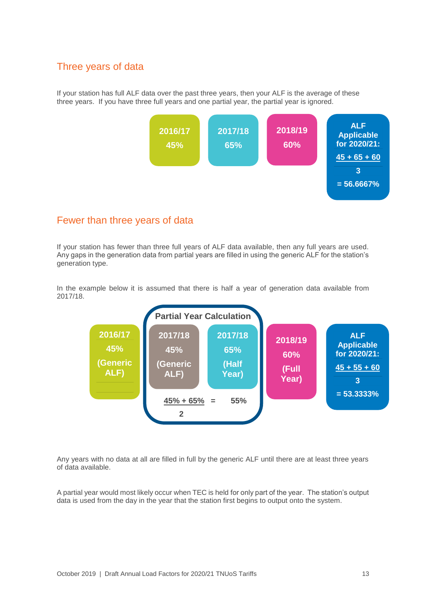#### Three years of data

If your station has full ALF data over the past three years, then your ALF is the average of these three years. If you have three full years and one partial year, the partial year is ignored.



#### Fewer than three years of data

If your station has fewer than three full years of ALF data available, then any full years are used. Any gaps in the generation data from partial years are filled in using the generic ALF for the station's generation type.

In the example below it is assumed that there is half a year of generation data available from 2017/18.



Any years with no data at all are filled in full by the generic ALF until there are at least three years of data available.

A partial year would most likely occur when TEC is held for only part of the year. The station's output data is used from the day in the year that the station first begins to output onto the system.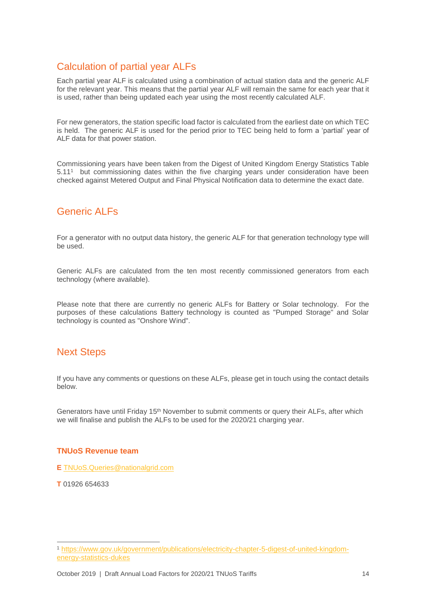#### Calculation of partial year ALFs

Each partial year ALF is calculated using a combination of actual station data and the generic ALF for the relevant year. This means that the partial year ALF will remain the same for each year that it is used, rather than being updated each year using the most recently calculated ALF.

For new generators, the station specific load factor is calculated from the earliest date on which TEC is held. The generic ALF is used for the period prior to TEC being held to form a 'partial' year of ALF data for that power station.

Commissioning years have been taken from the Digest of United Kingdom Energy Statistics Table 5.11<sup>1</sup> but commissioning dates within the five charging years under consideration have been checked against Metered Output and Final Physical Notification data to determine the exact date.

#### Generic ALFs

For a generator with no output data history, the generic ALF for that generation technology type will be used.

Generic ALFs are calculated from the ten most recently commissioned generators from each technology (where available).

Please note that there are currently no generic ALFs for Battery or Solar technology. For the purposes of these calculations Battery technology is counted as "Pumped Storage" and Solar technology is counted as "Onshore Wind".

#### Next Steps

If you have any comments or questions on these ALFs, please get in touch using the contact details below.

Generators have until Friday 15<sup>th</sup> November to submit comments or query their ALFs, after which we will finalise and publish the ALFs to be used for the 2020/21 charging year.

#### **TNUoS Revenue team**

**E** [TNUoS.Queries@nationalgrid.com](mailto:TNUoS.Queries@nationalgrid.com)

**T** 01926 654633

<sup>-</sup><sup>1</sup> [https://www.gov.uk/government/publications/electricity-chapter-5-digest-of-united-kingdom](https://www.gov.uk/government/publications/electricity-chapter-5-digest-of-united-kingdom-energy-statistics-dukes)[energy-statistics-dukes](https://www.gov.uk/government/publications/electricity-chapter-5-digest-of-united-kingdom-energy-statistics-dukes)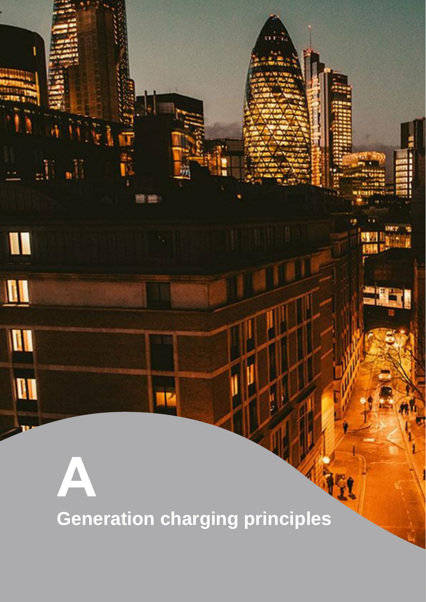<span id="page-15-0"></span>**Generation charging principles**

 $\mathbb{R}_+$ 

I

 $\blacksquare$ 

M

**AI** 

aÜ,

 $\Delta$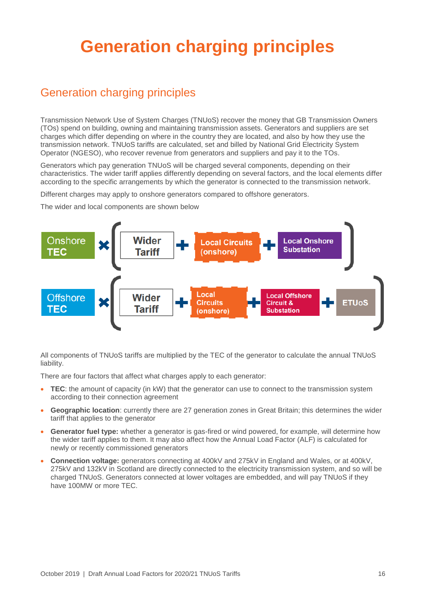## <span id="page-16-0"></span>**Generation charging principles**

## Generation charging principles

Transmission Network Use of System Charges (TNUoS) recover the money that GB Transmission Owners (TOs) spend on building, owning and maintaining transmission assets. Generators and suppliers are set charges which differ depending on where in the country they are located, and also by how they use the transmission network. TNUoS tariffs are calculated, set and billed by National Grid Electricity System Operator (NGESO), who recover revenue from generators and suppliers and pay it to the TOs.

Generators which pay generation TNUoS will be charged several components, depending on their characteristics. The wider tariff applies differently depending on several factors, and the local elements differ according to the specific arrangements by which the generator is connected to the transmission network.

Different charges may apply to onshore generators compared to offshore generators.

The wider and local components are shown below



All components of TNUoS tariffs are multiplied by the TEC of the generator to calculate the annual TNUoS liability.

There are four factors that affect what charges apply to each generator:

- **TEC**: the amount of capacity (in kW) that the generator can use to connect to the transmission system according to their connection agreement
- **Geographic location**: currently there are 27 generation zones in Great Britain; this determines the wider tariff that applies to the generator
- **Generator fuel type:** whether a generator is gas-fired or wind powered, for example, will determine how the wider tariff applies to them. It may also affect how the Annual Load Factor (ALF) is calculated for newly or recently commissioned generators
- **Connection voltage:** generators connecting at 400kV and 275kV in England and Wales, or at 400kV, 275kV and 132kV in Scotland are directly connected to the electricity transmission system, and so will be charged TNUoS. Generators connected at lower voltages are embedded, and will pay TNUoS if they have 100MW or more TEC.